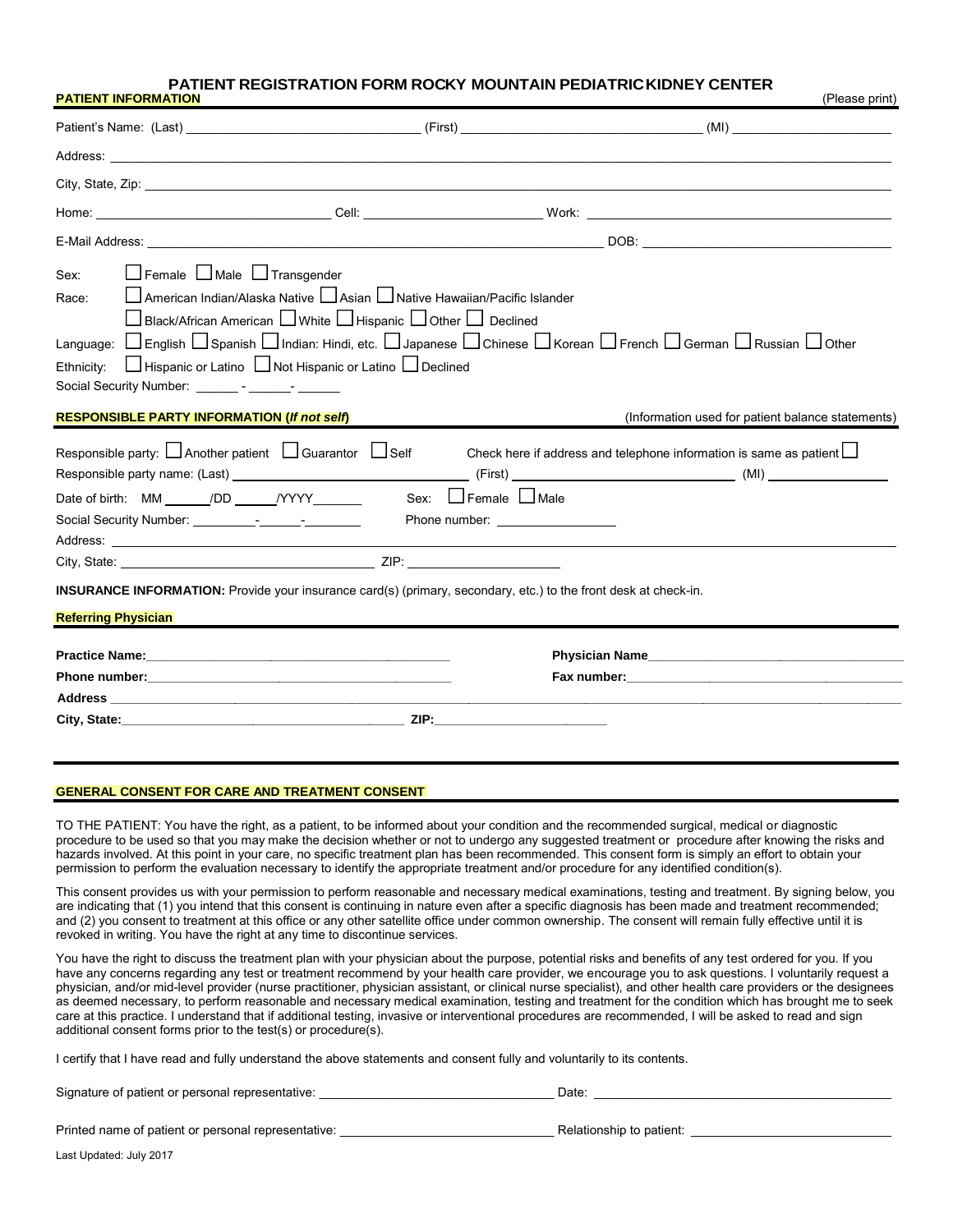#### **PATIENT INFORMATION** (Please print) **PATIENT REGISTRATION FORM ROCKY MOUNTAIN PEDIATRIC KIDNEY CENTER**

|                                                                                                                                                                                                                                    | City, State, Zip: 2008. The State of the State of the State of the State of the State of the State of the State of the State of the State of the State of the State of the State of the State of the State of the State of the    |                                                                                                                                                                                                                                                                      |  |  |  |  |  |  |  |
|------------------------------------------------------------------------------------------------------------------------------------------------------------------------------------------------------------------------------------|-----------------------------------------------------------------------------------------------------------------------------------------------------------------------------------------------------------------------------------|----------------------------------------------------------------------------------------------------------------------------------------------------------------------------------------------------------------------------------------------------------------------|--|--|--|--|--|--|--|
|                                                                                                                                                                                                                                    |                                                                                                                                                                                                                                   |                                                                                                                                                                                                                                                                      |  |  |  |  |  |  |  |
|                                                                                                                                                                                                                                    |                                                                                                                                                                                                                                   |                                                                                                                                                                                                                                                                      |  |  |  |  |  |  |  |
| $\Box$ Female $\Box$ Male $\Box$ Transgender<br>Sex:<br>Race:<br>Ethnicity:<br>Social Security Number: ________- - ______- - ________                                                                                              | L American Indian/Alaska Native L Asian L Native Hawaiian/Pacific Islander<br>$\Box$ Black/African American $\Box$ White $\Box$ Hispanic $\Box$ Other $\Box$ Declined<br>□ Hispanic or Latino □ Not Hispanic or Latino □ Declined | Language: □ English □ Spanish □ Indian: Hindi, etc. □ Japanese □ Chinese □ Korean □ French □ German □ Russian □ Other                                                                                                                                                |  |  |  |  |  |  |  |
| <b>RESPONSIBLE PARTY INFORMATION (If not self)</b>                                                                                                                                                                                 |                                                                                                                                                                                                                                   | (Information used for patient balance statements)                                                                                                                                                                                                                    |  |  |  |  |  |  |  |
| Responsible party: □ Another patient □ Guarantor □ Self<br>Date of birth: $MM$ <u>I</u> DD $I$ /YYYY                                                                                                                               | Sex: $\Box$ Female $\Box$ Male<br>Phone number: and the phone number:                                                                                                                                                             | Check here if address and telephone information is same as patient $\Box$                                                                                                                                                                                            |  |  |  |  |  |  |  |
|                                                                                                                                                                                                                                    | <b>INSURANCE INFORMATION:</b> Provide your insurance card(s) (primary, secondary, etc.) to the front desk at check-in.                                                                                                            |                                                                                                                                                                                                                                                                      |  |  |  |  |  |  |  |
| <b>Referring Physician</b>                                                                                                                                                                                                         |                                                                                                                                                                                                                                   |                                                                                                                                                                                                                                                                      |  |  |  |  |  |  |  |
| <b>Practice Name:</b> The contract of the contract of the contract of the contract of the contract of the contract of the contract of the contract of the contract of the contract of the contract of the contract of the contract |                                                                                                                                                                                                                                   | Physician Name <b>Example 2018</b><br>Fax number: The contract of the contract of the contract of the contract of the contract of the contract of the contract of the contract of the contract of the contract of the contract of the contract of the contract of th |  |  |  |  |  |  |  |
|                                                                                                                                                                                                                                    |                                                                                                                                                                                                                                   |                                                                                                                                                                                                                                                                      |  |  |  |  |  |  |  |

#### **GENERAL CONSENT FOR CARE AND TREATMENT CONSENT**

I

 TO THE PATIENT: You have the right, as a patient, to be informed about your condition and the recommended surgical, medical or diagnostic procedure to be used so that you may make the decision whether or not to undergo any suggested treatment or procedure after knowing the risks and hazards involved. At this point in your care, no specific treatment plan has been recommended. This consent form is simply an effort to obtain your permission to perform the evaluation necessary to identify the appropriate treatment and/or procedure for any identified condition(s).

 This consent provides us with your permission to perform reasonable and necessary medical examinations, testing and treatment. By signing below, you are indicating that (1) you intend that this consent is continuing in nature even after a specific diagnosis has been made and treatment recommended; and (2) you consent to treatment at this office or any other satellite office under common ownership. The consent will remain fully effective until it is revoked in writing. You have the right at any time to discontinue services.

 You have the right to discuss the treatment plan with your physician about the purpose, potential risks and benefits of any test ordered for you. If you have any concerns regarding any test or treatment recommend by your health care provider, we encourage you to ask questions. I voluntarily request a physician, and/or mid-level provider (nurse practitioner, physician assistant, or clinical nurse specialist), and other health care providers or the designees as deemed necessary, to perform reasonable and necessary medical examination, testing and treatment for the condition which has brought me to seek care at this practice. I understand that if additional testing, invasive or interventional procedures are recommended, I will be asked to read and sign additional consent forms prior to the test(s) or procedure(s).

I certify that I have read and fully understand the above statements and consent fully and voluntarily to its contents.

| Signature of patient or personal representative:    | Date:                    |
|-----------------------------------------------------|--------------------------|
| Printed name of patient or personal representative: | Relationship to patient: |
| Last Updated: July 2017                             |                          |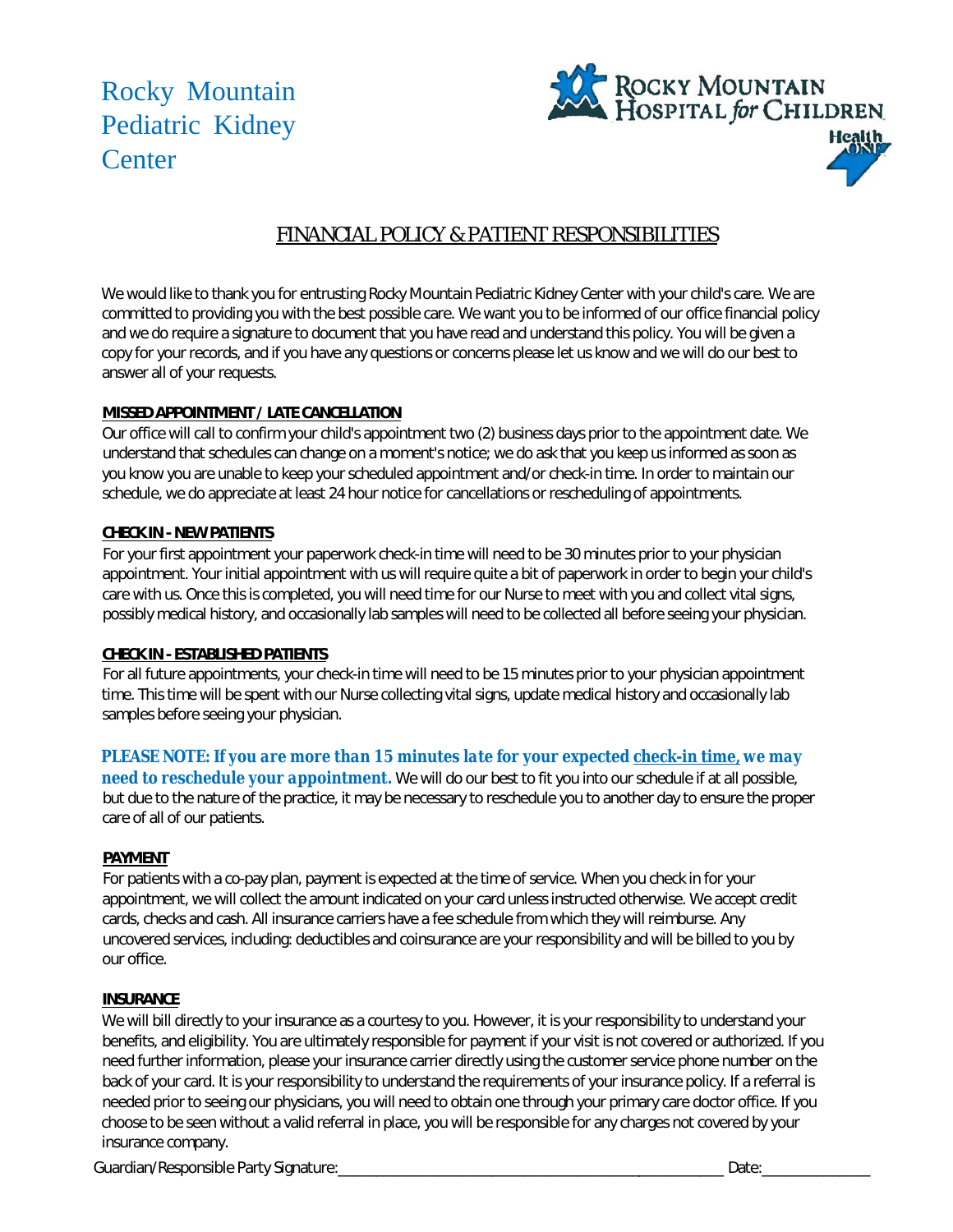Rocky Mountain Pediatric Kidney **Center** 



# FINANCIAL POLICY & PATIENT RESPONSIBILITIES

We would like to thank you for entrusting Rocky Mountain Pediatric Kidney Center with your child's care. We are committed to providing you with the best possible care. We want you to be informed of our office financial policy and we do require a signature to document that you have read and understand this policy. You will be given a copy for your records, and if you have any questions or concerns please let us know and we will do our best to answer all of your requests.

### **MISSED APPOINTMENT / LATE CANCELLATION**

Our office will call to confirm your child's appointment two (2) business days prior to the appointment date. We understand that schedules can change on a moment's notice; we do ask that you keep us informed as soon as you know you are unable to keep your scheduled appointment and/or check-in time. In order to maintain our schedule, we do appreciate at least 24 hour notice for cancellations or rescheduling of appointments.

### **CHECK IN - NEW PATIENTS**

For your first appointment your paperwork check-in time will need to be 30 minutes prior to your physician appointment. Your initial appointment with us will require quite a bit of paperwork in order to begin your child's care with us. Once this is completed, you will need time for our Nurse to meet with you and collect vital signs, possibly medical history, and occasionally lab samples will need to be collected all before seeing your physician.

### **CHECK IN - ESTABLISHED PATIENTS**

For all future appointments, your check-in time will need to be 15 minutes prior to your physician appointment time. This time will be spent with our Nurse collecting vital signs, update medical history and occasionally lab samples before seeing your physician.

*PLEASE NOTE: If you are more than 15 minutes late for your expected check-in time, we may need to reschedule your appointment. We* will do our best to fit you into our schedule if at all possible, but due to the nature of the practice, it may be necessary to reschedule you to another day to ensure the proper care of all of our patients.

#### **PAYMENT**

For patients with a co-pay plan, payment is expected at the time of service. When you check in for your appointment, we will collect the amount indicated on your card unless instructed otherwise. We accept credit cards, checks and cash. All insurance carriers have a fee schedule from which they will reimburse. Any uncovered services, including: deductibles and coinsurance are your responsibility and will be billed to you by our office.

## **INSURANCE**

We will bill directly to your insurance as a courtesy to you. However, it is your responsibility to understand your benefits, and eligibility. You are ultimately responsible for payment if your visit is not covered or authorized. If you need further information, please your insurance carrier directly using the customer service phone number on the back of your card. It is your responsibility to understand the requirements of your insurance policy. If a referral is needed prior to seeing our physicians, you will need to obtain one through your primary care doctor office. If you choose to be seen without a valid referral in place, you will be responsible for any charges not covered by your insurance company.

Guardian/Responsible Party Signature:\_\_\_\_\_\_\_\_\_\_\_\_\_\_\_\_\_\_\_\_\_\_\_\_\_\_\_\_\_\_\_\_\_\_\_\_\_\_\_\_\_\_\_\_\_\_\_\_\_\_ Date:\_\_\_\_\_\_\_\_\_\_\_\_\_\_